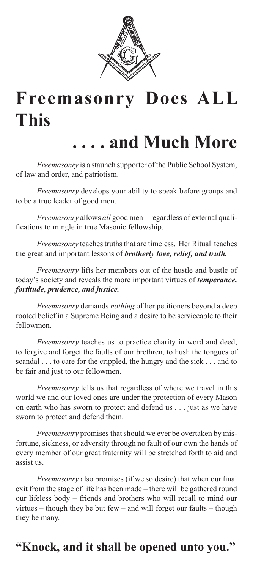

## **Freemasonry Does ALL This**

### **. . . . and Much More**

*Freemasonry* is a staunch supporter of the Public School System, of law and order, and patriotism.

*Freemasonry* develops your ability to speak before groups and to be a true leader of good men.

*Freemasonry* allows *all* good men – regardless of external qualifications to mingle in true Masonic fellowship.

*Freemasonry* teaches truths that are timeless. Her Ritual teaches the great and important lessons of *brotherly love, relief, and truth.*

*Freemasonry* lifts her members out of the hustle and bustle of today's society and reveals the more important virtues of *temperance, fortitude, prudence, and justice.*

*Freemasonry* demands *nothing* of her petitioners beyond a deep rooted belief in a Supreme Being and a desire to be serviceable to their fellowmen.

*Freemasonry* teaches us to practice charity in word and deed, to forgive and forget the faults of our brethren, to hush the tongues of scandal . . . to care for the crippled, the hungry and the sick . . . and to be fair and just to our fellowmen.

*Freemasonry* tells us that regardless of where we travel in this world we and our loved ones are under the protection of every Mason on earth who has sworn to protect and defend us . . . just as we have sworn to protect and defend them.

*Freemasonry* promises that should we ever be overtaken by misfortune, sickness, or adversity through no fault of our own the hands of every member of our great fraternity will be stretched forth to aid and assist us.

*Freemasonry* also promises (if we so desire) that when our final exit from the stage of life has been made – there will be gathered round our lifeless body – friends and brothers who will recall to mind our virtues – though they be but few – and will forget our faults – though they be many.

### **"Knock, and it shall be opened unto you."**